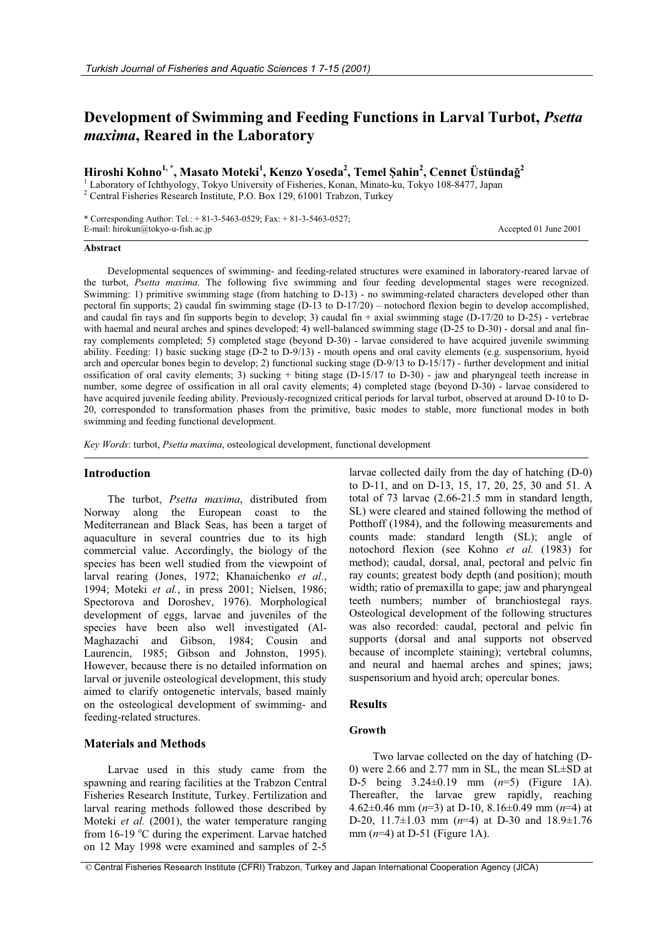# **Development of Swimming and Feeding Functions in Larval Turbot,** *Psetta maxima***, Reared in the Laboratory**

**Hiroshi Kohno1,** \* **, Masato Moteki<sup>1</sup> , Kenzo Yoseda2 , Temel ùahin<sup>2</sup> , Cennet Üstünda÷<sup>2</sup>**

<sup>1</sup> Laboratory of Ichthyology, Tokyo University of Fisheries, Konan, Minato-ku, Tokyo 108-8477, Japan <sup>2</sup> Central Fisheries Research Institute, P.O. Box 129, 61001 Trabzon, Turkey

\* Corresponding Author: Tel.: + 81-3-5463-0529; Fax: + 81-3-5463-0527; E-mail: hirokun@tokyo-u-fish.ac.jp Accepted 01 June 2001

# **Abstract**

Developmental sequences of swimming- and feeding-related structures were examined in laboratory-reared larvae of the turbot, *Psetta maxima*. The following five swimming and four feeding developmental stages were recognized. Swimming: 1) primitive swimming stage (from hatching to D-13) - no swimming-related characters developed other than pectoral fin supports; 2) caudal fin swimming stage (D-13 to D-17/20) – notochord flexion begin to develop accomplished, and caudal fin rays and fin supports begin to develop; 3) caudal fin + axial swimming stage (D-17/20 to D-25) - vertebrae with haemal and neural arches and spines developed; 4) well-balanced swimming stage (D-25 to D-30) - dorsal and anal finray complements completed; 5) completed stage (beyond D-30) - larvae considered to have acquired juvenile swimming ability. Feeding: 1) basic sucking stage (D-2 to D-9/13) - mouth opens and oral cavity elements (e.g. suspensorium, hyoid arch and opercular bones begin to develop; 2) functional sucking stage (D-9/13 to D-15/17) - further development and initial ossification of oral cavity elements; 3) sucking + biting stage (D-15/17 to D-30) - jaw and pharyngeal teeth increase in number, some degree of ossification in all oral cavity elements; 4) completed stage (beyond D-30) - larvae considered to have acquired juvenile feeding ability. Previously-recognized critical periods for larval turbot, observed at around D-10 to D-20, corresponded to transformation phases from the primitive, basic modes to stable, more functional modes in both swimming and feeding functional development.

*Key Words*: turbot, *Psetta maxima*, osteological development, functional development

## **Introduction**

The turbot, *Psetta maxima*, distributed from Norway along the European coast to the Mediterranean and Black Seas, has been a target of aquaculture in several countries due to its high commercial value. Accordingly, the biology of the species has been well studied from the viewpoint of larval rearing (Jones, 1972; Khanaichenko *et al.*, 1994; Moteki *et al.*, in press 2001; Nielsen, 1986; Spectorova and Doroshev, 1976). Morphological development of eggs, larvae and juveniles of the species have been also well investigated (Al-Maghazachi and Gibson, 1984; Cousin and Laurencin, 1985; Gibson and Johnston, 1995). However, because there is no detailed information on larval or juvenile osteological development, this study aimed to clarify ontogenetic intervals, based mainly on the osteological development of swimming- and feeding-related structures.

## **Materials and Methods**

Larvae used in this study came from the spawning and rearing facilities at the Trabzon Central Fisheries Research Institute, Turkey. Fertilization and larval rearing methods followed those described by Moteki *et al.* (2001), the water temperature ranging from 16-19 °C during the experiment. Larvae hatched on 12 May 1998 were examined and samples of 2-5

larvae collected daily from the day of hatching (D-0) to D-11, and on D-13, 15, 17, 20, 25, 30 and 51. A total of 73 larvae (2.66-21.5 mm in standard length, SL) were cleared and stained following the method of Potthoff (1984), and the following measurements and counts made: standard length (SL); angle of notochord flexion (see Kohno *et al.* (1983) for method); caudal, dorsal, anal, pectoral and pelvic fin ray counts; greatest body depth (and position); mouth width; ratio of premaxilla to gape; jaw and pharyngeal teeth numbers; number of branchiostegal rays. Osteological development of the following structures was also recorded: caudal, pectoral and pelvic fin supports (dorsal and anal supports not observed because of incomplete staining); vertebral columns, and neural and haemal arches and spines; jaws; suspensorium and hyoid arch; opercular bones.

# **Results**

# **Growth**

Two larvae collected on the day of hatching (D-0) were 2.66 and 2.77 mm in SL, the mean SL±SD at D-5 being 3.24±0.19 mm (*n*=5) (Figure 1A). Thereafter, the larvae grew rapidly, reaching 4.62±0.46 mm (*n*=3) at D-10, 8.16±0.49 mm (*n*=4) at D-20, 11.7±1.03 mm (*n*=4) at D-30 and 18.9±1.76 mm (*n*=4) at D-51 (Figure 1A).

© Central Fisheries Research Institute (CFRI) Trabzon, Turkey and Japan International Cooperation Agency (JICA)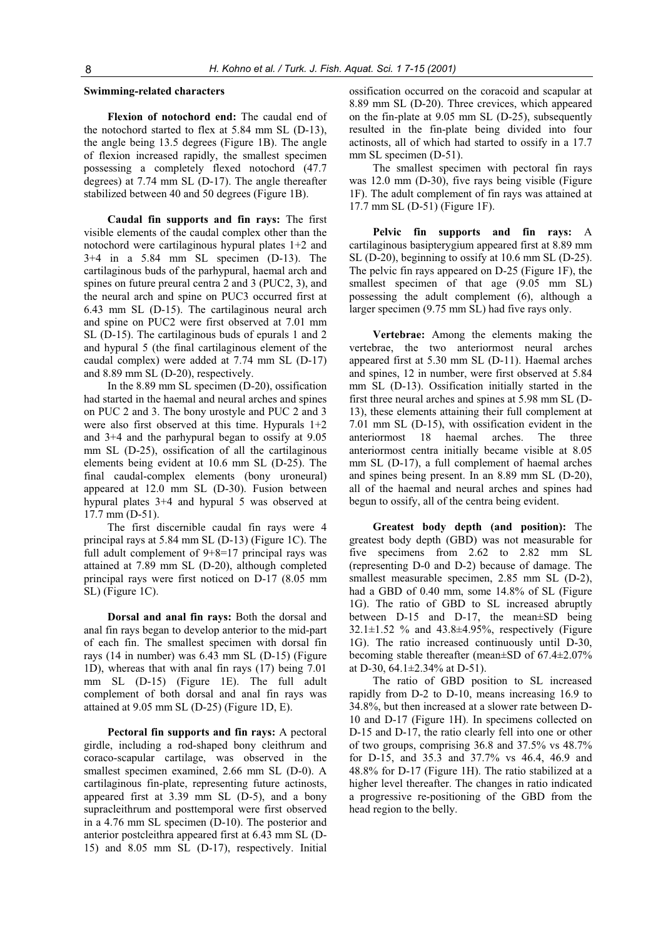# **Swimming-related characters**

**Flexion of notochord end:** The caudal end of the notochord started to flex at 5.84 mm SL (D-13), the angle being 13.5 degrees (Figure 1B). The angle of flexion increased rapidly, the smallest specimen possessing a completely flexed notochord (47.7 degrees) at 7.74 mm SL (D-17). The angle thereafter stabilized between 40 and 50 degrees (Figure 1B).

**Caudal fin supports and fin rays:** The first visible elements of the caudal complex other than the notochord were cartilaginous hypural plates 1+2 and 3+4 in a 5.84 mm SL specimen (D-13). The cartilaginous buds of the parhypural, haemal arch and spines on future preural centra 2 and 3 (PUC2, 3), and the neural arch and spine on PUC3 occurred first at 6.43 mm SL (D-15). The cartilaginous neural arch and spine on PUC2 were first observed at 7.01 mm SL (D-15). The cartilaginous buds of epurals 1 and 2 and hypural 5 (the final cartilaginous element of the caudal complex) were added at 7.74 mm SL (D-17) and 8.89 mm SL (D-20), respectively.

In the 8.89 mm SL specimen (D-20), ossification had started in the haemal and neural arches and spines on PUC 2 and 3. The bony urostyle and PUC 2 and 3 were also first observed at this time. Hypurals 1+2 and 3+4 and the parhypural began to ossify at 9.05 mm SL (D-25), ossification of all the cartilaginous elements being evident at 10.6 mm SL (D-25). The final caudal-complex elements (bony uroneural) appeared at 12.0 mm SL (D-30). Fusion between hypural plates 3+4 and hypural 5 was observed at 17.7 mm (D-51).

The first discernible caudal fin rays were 4 principal rays at 5.84 mm SL (D-13) (Figure 1C). The full adult complement of 9+8=17 principal rays was attained at 7.89 mm SL (D-20), although completed principal rays were first noticed on D-17 (8.05 mm SL) (Figure 1C).

**Dorsal and anal fin rays:** Both the dorsal and anal fin rays began to develop anterior to the mid-part of each fin. The smallest specimen with dorsal fin rays (14 in number) was 6.43 mm SL (D-15) (Figure 1D), whereas that with anal fin rays (17) being 7.01 mm SL (D-15) (Figure 1E). The full adult complement of both dorsal and anal fin rays was attained at 9.05 mm SL (D-25) (Figure 1D, E).

**Pectoral fin supports and fin rays:** A pectoral girdle, including a rod-shaped bony cleithrum and coraco-scapular cartilage, was observed in the smallest specimen examined, 2.66 mm SL (D-0). A cartilaginous fin-plate, representing future actinosts, appeared first at 3.39 mm SL (D-5), and a bony supracleithrum and posttemporal were first observed in a 4.76 mm SL specimen (D-10). The posterior and anterior postcleithra appeared first at 6.43 mm SL (D-15) and 8.05 mm SL (D-17), respectively. Initial

ossification occurred on the coracoid and scapular at 8.89 mm SL (D-20). Three crevices, which appeared on the fin-plate at 9.05 mm SL (D-25), subsequently resulted in the fin-plate being divided into four actinosts, all of which had started to ossify in a 17.7 mm SL specimen (D-51).

The smallest specimen with pectoral fin rays was 12.0 mm (D-30), five rays being visible (Figure 1F). The adult complement of fin rays was attained at 17.7 mm SL (D-51) (Figure 1F).

**Pelvic fin supports and fin rays:** A cartilaginous basipterygium appeared first at 8.89 mm SL (D-20), beginning to ossify at 10.6 mm SL (D-25). The pelvic fin rays appeared on D-25 (Figure 1F), the smallest specimen of that age  $(9.05 \text{ mm} \text{ SL})$ possessing the adult complement (6), although a larger specimen (9.75 mm SL) had five rays only.

**Vertebrae:** Among the elements making the vertebrae, the two anteriormost neural arches appeared first at 5.30 mm SL (D-11). Haemal arches and spines, 12 in number, were first observed at 5.84 mm SL (D-13). Ossification initially started in the first three neural arches and spines at 5.98 mm SL (D-13), these elements attaining their full complement at 7.01 mm SL (D-15), with ossification evident in the anteriormost 18 haemal arches. The three anteriormost centra initially became visible at 8.05 mm SL (D-17), a full complement of haemal arches and spines being present. In an 8.89 mm SL (D-20), all of the haemal and neural arches and spines had begun to ossify, all of the centra being evident.

**Greatest body depth (and position):** The greatest body depth (GBD) was not measurable for five specimens from 2.62 to 2.82 mm SL (representing D-0 and D-2) because of damage. The smallest measurable specimen, 2.85 mm SL (D-2), had a GBD of 0.40 mm, some 14.8% of SL (Figure 1G). The ratio of GBD to SL increased abruptly between D-15 and D-17, the mean±SD being 32.1±1.52 % and 43.8±4.95%, respectively (Figure 1G). The ratio increased continuously until D-30, becoming stable thereafter (mean±SD of 67.4±2.07% at D-30, 64.1±2.34% at D-51).

The ratio of GBD position to SL increased rapidly from D-2 to D-10, means increasing 16.9 to 34.8%, but then increased at a slower rate between D-10 and D-17 (Figure 1H). In specimens collected on D-15 and D-17, the ratio clearly fell into one or other of two groups, comprising 36.8 and 37.5% vs 48.7% for D-15, and 35.3 and 37.7% vs 46.4, 46.9 and 48.8% for D-17 (Figure 1H). The ratio stabilized at a higher level thereafter. The changes in ratio indicated a progressive re-positioning of the GBD from the head region to the belly.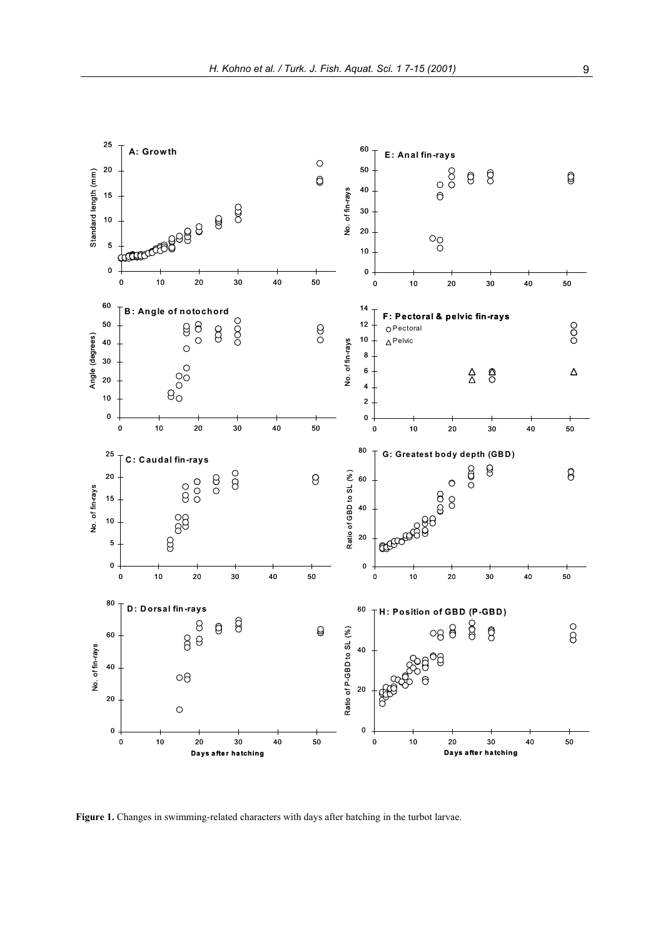

**igure 1.** Changes in swimming-related characters with days after hatching in the turbot larvae. **F**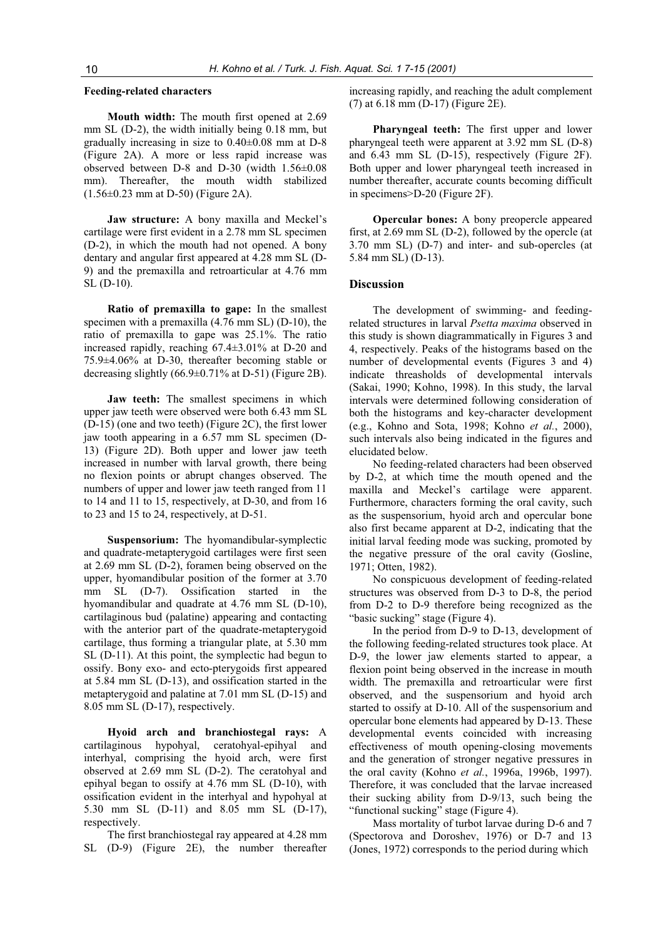## **Feeding-related characters**

**Mouth width:** The mouth first opened at 2.69 mm SL (D-2), the width initially being 0.18 mm, but gradually increasing in size to 0.40±0.08 mm at D-8 (Figure 2A). A more or less rapid increase was observed between D-8 and D-30 (width 1.56±0.08 mm). Thereafter, the mouth width stabilized (1.56±0.23 mm at D-50) (Figure 2A).

**Jaw structure:** A bony maxilla and Meckel's cartilage were first evident in a 2.78 mm SL specimen (D-2), in which the mouth had not opened. A bony dentary and angular first appeared at 4.28 mm SL (D-9) and the premaxilla and retroarticular at 4.76 mm SL (D-10).

**Ratio of premaxilla to gape:** In the smallest specimen with a premaxilla (4.76 mm SL) (D-10), the ratio of premaxilla to gape was 25.1%. The ratio increased rapidly, reaching 67.4±3.01% at D-20 and 75.9±4.06% at D-30, thereafter becoming stable or decreasing slightly (66.9±0.71% at D-51) (Figure 2B).

**Jaw teeth:** The smallest specimens in which upper jaw teeth were observed were both 6.43 mm SL (D-15) (one and two teeth) (Figure 2C), the first lower jaw tooth appearing in a 6.57 mm SL specimen (D-13) (Figure 2D). Both upper and lower jaw teeth increased in number with larval growth, there being no flexion points or abrupt changes observed. The numbers of upper and lower jaw teeth ranged from 11 to 14 and 11 to 15, respectively, at D-30, and from 16 to 23 and 15 to 24, respectively, at D-51.

**Suspensorium:** The hyomandibular-symplectic and quadrate-metapterygoid cartilages were first seen at 2.69 mm SL (D-2), foramen being observed on the upper, hyomandibular position of the former at 3.70 mm SL (D-7). Ossification started in the hyomandibular and quadrate at 4.76 mm SL (D-10), cartilaginous bud (palatine) appearing and contacting with the anterior part of the quadrate-metapterygoid cartilage, thus forming a triangular plate, at 5.30 mm SL (D-11). At this point, the symplectic had begun to ossify. Bony exo- and ecto-pterygoids first appeared at 5.84 mm SL (D-13), and ossification started in the metapterygoid and palatine at 7.01 mm SL (D-15) and 8.05 mm SL (D-17), respectively.

**Hyoid arch and branchiostegal rays:** A cartilaginous hypohyal, ceratohyal-epihyal and interhyal, comprising the hyoid arch, were first observed at 2.69 mm SL (D-2). The ceratohyal and epihyal began to ossify at 4.76 mm SL (D-10), with ossification evident in the interhyal and hypohyal at 5.30 mm SL (D-11) and 8.05 mm SL (D-17), respectively.

The first branchiostegal ray appeared at 4.28 mm SL (D-9) (Figure 2E), the number thereafter

increasing rapidly, and reaching the adult complement (7) at 6.18 mm (D-17) (Figure 2E).

**Pharyngeal teeth:** The first upper and lower pharyngeal teeth were apparent at 3.92 mm SL (D-8) and 6.43 mm SL (D-15), respectively (Figure 2F). Both upper and lower pharyngeal teeth increased in number thereafter, accurate counts becoming difficult in specimens>D-20 (Figure 2F).

**Opercular bones:** A bony preopercle appeared first, at 2.69 mm SL (D-2), followed by the opercle (at 3.70 mm SL) (D-7) and inter- and sub-opercles (at 5.84 mm SL) (D-13).

#### **Discussion**

The development of swimming- and feedingrelated structures in larval *Psetta maxima* observed in this study is shown diagrammatically in Figures 3 and 4, respectively. Peaks of the histograms based on the number of developmental events (Figures 3 and 4) indicate threasholds of developmental intervals (Sakai, 1990; Kohno, 1998). In this study, the larval intervals were determined following consideration of both the histograms and key-character development (e.g., Kohno and Sota, 1998; Kohno *et al.*, 2000), such intervals also being indicated in the figures and elucidated below.

No feeding-related characters had been observed by D-2, at which time the mouth opened and the maxilla and Meckel's cartilage were apparent. Furthermore, characters forming the oral cavity, such as the suspensorium, hyoid arch and opercular bone also first became apparent at D-2, indicating that the initial larval feeding mode was sucking, promoted by the negative pressure of the oral cavity (Gosline, 1971; Otten, 1982).

No conspicuous development of feeding-related structures was observed from D-3 to D-8, the period from D-2 to D-9 therefore being recognized as the "basic sucking" stage (Figure 4).

In the period from D-9 to D-13, development of the following feeding-related structures took place. At D-9, the lower jaw elements started to appear, a flexion point being observed in the increase in mouth width. The premaxilla and retroarticular were first observed, and the suspensorium and hyoid arch started to ossify at D-10. All of the suspensorium and opercular bone elements had appeared by D-13. These developmental events coincided with increasing effectiveness of mouth opening-closing movements and the generation of stronger negative pressures in the oral cavity (Kohno *et al.*, 1996a, 1996b, 1997). Therefore, it was concluded that the larvae increased their sucking ability from D-9/13, such being the "functional sucking" stage (Figure 4).

Mass mortality of turbot larvae during D-6 and 7 (Spectorova and Doroshev, 1976) or D-7 and 13 (Jones, 1972) corresponds to the period during which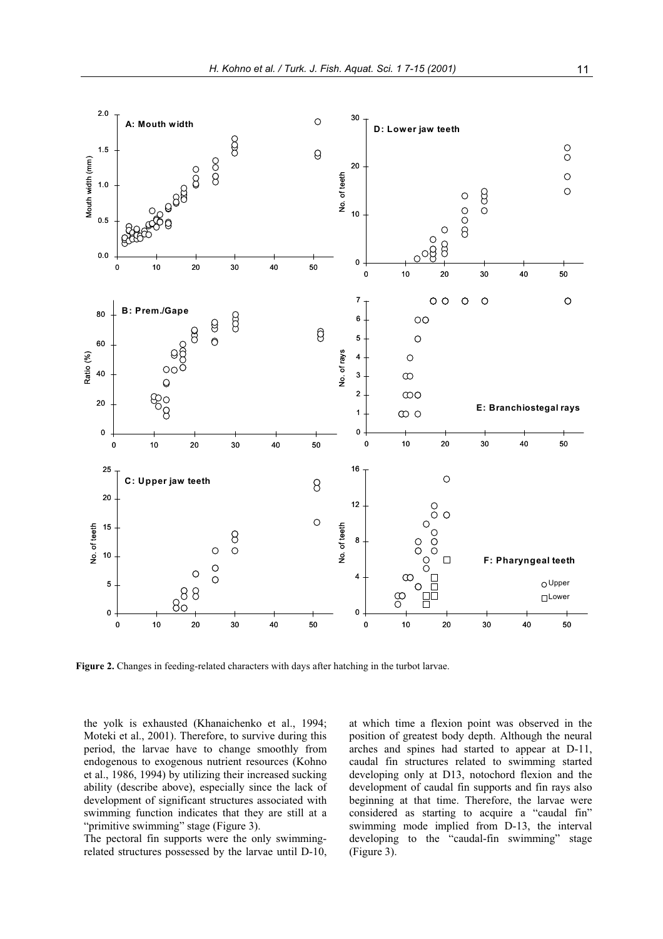

**igure 2.** Changes in feeding-related characters with days after hatching in the turbot larvae. **F**

the yolk is exhausted (Khanaichenko et al., 1994; Moteki et al., 2001). Therefore, to survive during this period, the larvae have to change smoothly from endogenous to exogenous nutrient resources (Kohno et al., 1986, 1994) by utilizing their increased sucking ability (describe above), especially since the lack of development of significant structures associated with swimming function indicates that they are still at a "primitive swimming" stage (Figure 3).

The pectoral fin supports were the only swimmingrelated structures possessed by the larvae until D-10, at which time a flexion point was observed in the position of greatest body depth. Although the neural arches and spines had started to appear at D-11, caudal fin structures related to swimming started developing only at D13, notochord flexion and the development of caudal fin supports and fin rays also beginning at that time. Therefore, the larvae were considered as starting to acquire a "caudal fin" swimming mode implied from D-13, the interval developing to the "caudal-fin swimming" stage (Figure 3).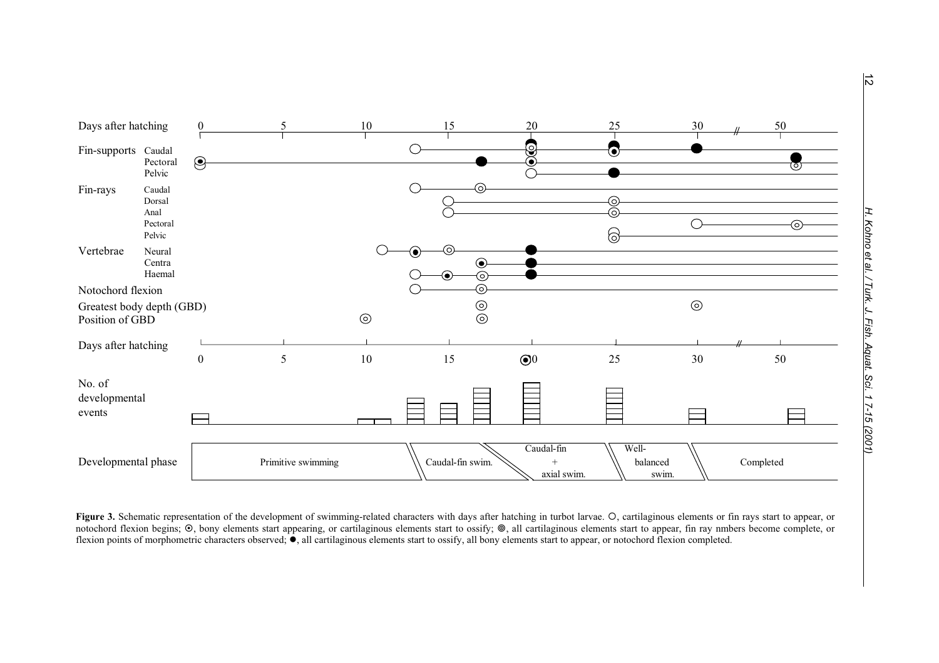

Figure 3. Schematic representation of the development of swimming-related characters with days after hatching in turbot larvae. O, cartilaginous elements or fin rays start to appear, or notochord flexion begins;  $\odot$ , bony elements start appearing, or cartilaginous elements start to ossify;  $\odot$ , all cartilaginous elements start to appear, fin ray nmbers become complete, or flexion points of morphometric characters observed;  $\bullet$ , all cartilaginous elements start to ossify, all bony elements start to appear, or notochord flexion completed.

 $\vec{a}$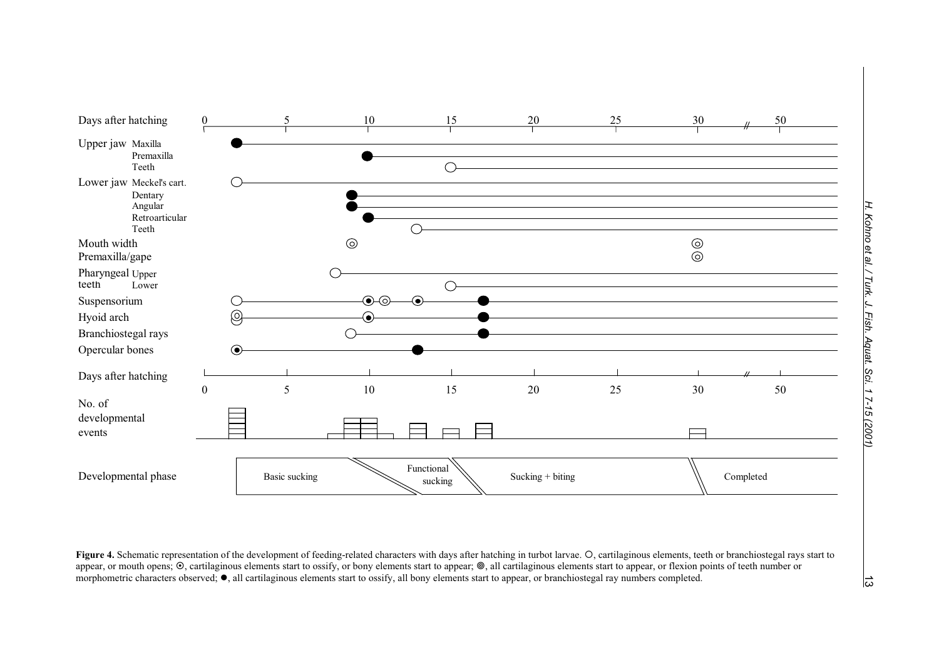

Figure 4. Schematic representation of the development of feeding-related characters with days after hatching in turbot larvae. O, cartilaginous elements, teeth or branchiostegal rays start to appear, or mouth opens; ©, cartilaginous elements start to ossify, or bony elements start to appear; ©, all cartilaginous elements start to appear, or flexion points of teeth number or morphometric characters observed; ●, all cartilaginous elements start to ossify, all bony elements start to appear, or branchiostegal ray numbers completed.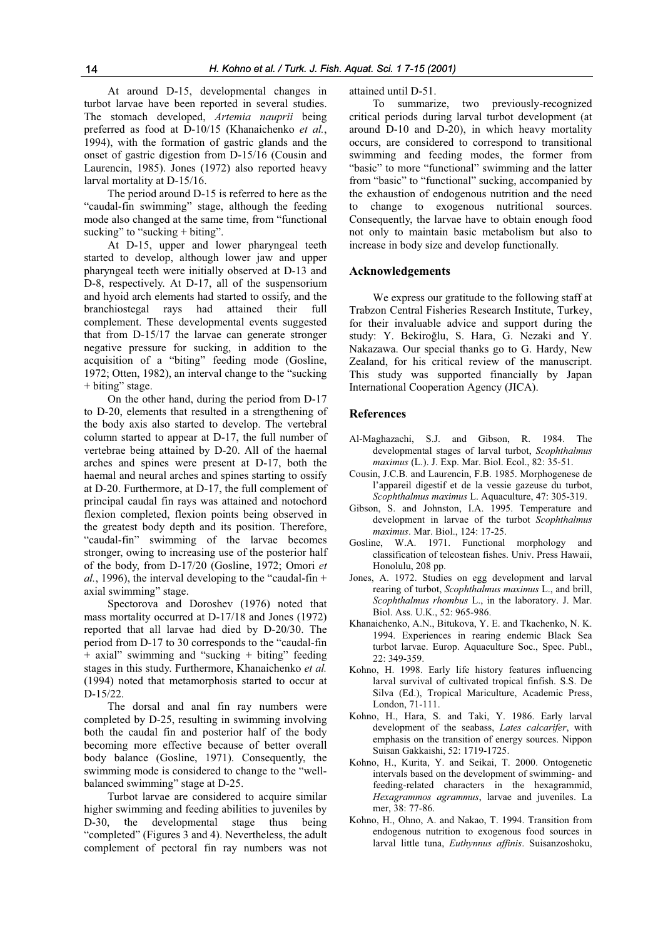At around D-15, developmental changes in turbot larvae have been reported in several studies. The stomach developed, *Artemia nauprii* being preferred as food at D-10/15 (Khanaichenko *et al.*, 1994), with the formation of gastric glands and the onset of gastric digestion from D-15/16 (Cousin and larval mortality at D-15/16. Laurencin, 1985). Jones (1972) also reported heavy

The peri od around D-15 is referred to here as the mode also changed at the same time, from "functional sucking" to "sucking + biting". "caudal-fin swimming" stage, although the feeding

At D-15, upper and l ower pharyngeal teeth started to develop, although lower jaw and upper pharyngeal teeth were initially observed at D-13 and and hyoid arch elements had started to ossify, and the branchios complement. These developmental events suggested that from D-15/17 the larvae can generate stronger negative pressure for sucking, in addition to the acquisition of a "biting" feeding mode (Gosline, 1972; Otten, 1982), an interval change to the "sucking + biting" stage. D-8, respectively. At D-17, all of the suspensorium rays had attained their full

On t he other hand, during the period from D-17 to D-20, elements that resulted in a strengthening of the body axis also started to develop. The vertebral column started to appear at D-17, the full number of vertebrae being attained by D-20. All of the haemal arches and spines were present at D-17, both the haemal and neural arches and spines starting to ossify at D-20. Furthermore, at D-17, the full complement of principal caudal fin rays was attained and notochord flexion completed, flexion points being observed in "caudal-fin" swimming of the larvae becomes stronger, owing to increasing use of the posterior half of the body, from D-17/20 (Gosline, 1972; Omori et *al.*, 1996), the interval developing to the "caudal-fin + the greatest body depth and its position. Therefore, axial swimming" stage.

Spect orova and Doroshev (1976) noted that mass mortality occurred at D-17/18 and Jones (1972) reported that all larvae had died by D-20/30. The + axial" swimming and "sucking + biting" feeding stages in this study. Furthermore, Khanaichenko et al. (1994) noted that metamorphosis started to occur at D-15/22. period from D-17 to 30 corresponds to the "caudal-fin

The dorsal and anal fin ray numbers were completed by D-25, resulting in swimming involving both the caudal fin and posterior half of the body becoming more effective because of better overall body balance (Gosline, 1971). Consequently, the swimming mode is considered to change to the "wellbalanced swimming" stage at D-25.

Turbot larvae are considered to acquire similar higher swimming and feeding abilities to juveniles by D-30, the developmental stage thus being "completed" (Figures 3 and 4). Nevertheless, the adult complement of pectoral fin ray numbers was not attained until D-51.

To summarize, two previously-recognized critical periods during larval turbot development (at around D-10 and D-20), in which heavy mortality occurs, are considered to correspond to transitional swimming and feeding modes, the former from "basic" to more "functional" swimming and the latter from "basic" to "functional" sucking, accompanied by the exhaustion of endogenous nutrition and the need to change to exogenous nutritional sources. Consequently, the larvae have to obtain enough food not only to maintain basic metabolism but also to increase in body size and develop functionally.

# **Acknowledgements**

We express our gratitude to the following staff at Trabzon Central Fisheries Research Institute, Turkey, for their invaluable advice and support during the study: Y. Bekiroğlu, S. Hara, G. Nezaki and Y. Nakazawa. Our special thanks go to G. Hardy, New Zealand, for his critical review of the manuscript. This study was supported financially by Japan International Cooperation Agency (JICA).

# **References**

- Al-Maghazachi, S.J. and Gibson, R. 1984. The developmental stages of larval turbot, *Scophthalmus maximus* (L.). J. Exp. Mar. Biol. Ecol., 82: 35-51.
- Cousin, J.C.B. and Laurencin, F.B. 1985. Morphogenese de l'appareil digestif et de la vessie gazeuse du turbot, *Scophthalmus maximus* L. Aquaculture, 47: 305-319.
- Gibson, S. and Johnston, I.A. 1995. Temperature and development in larvae of the turbot *Scophthalmus maximus*. Mar. Biol., 124: 17-25.
- Gosline, W.A. 1971. Functional morphology and classification of teleostean fishes. Univ. Press Hawaii, Honolulu, 208 pp.
- Jones, A. 1972. Studies on egg development and larval rearing of turbot, *Scophthalmus maximus* L., and brill, *Scophthalmus rhombus* L., in the laboratory. J. Mar. Biol. Ass. U.K., 52: 965-986.
- Khanaichenko, A.N., Bitukova, Y. E. and Tkachenko, N. K. 1994. Experiences in rearing endemic Black Sea turbot larvae. Europ. Aquaculture Soc., Spec. Publ.,  $22 \cdot 349 - 359$
- Kohno, H. 1998. Early life history features influencing larval survival of cultivated tropical finfish. S.S. De Silva (Ed.), Tropical Mariculture, Academic Press, London, 71-111.
- Kohno, H., Hara, S. and Taki, Y. 1986. Early larval development of the seabass, *Lates calcarifer*, with emphasis on the transition of energy sources. Nippon Suisan Gakkaishi, 52: 1719-1725.
- Kohno, H., Kurita, Y. and Seikai, T. 2000. Ontogenetic intervals based on the development of swimming- and feeding-related characters in the hexagrammid, *Hexagrammos agrammus*, larvae and juveniles. La mer, 38: 77-86.
- Kohno, H., Ohno, A. and Nakao, T. 1994. Transition from endogenous nutrition to exogenous food sources in larval little tuna, *Euthynnus affinis*. Suisanzoshoku,